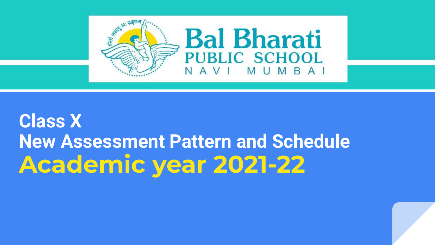

## **Class X New Assessment Pattern and Schedule Academic year 2021-22**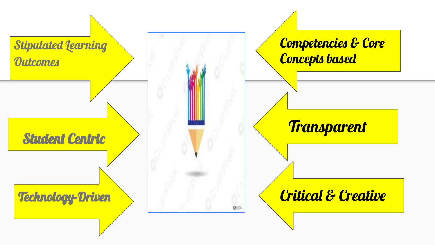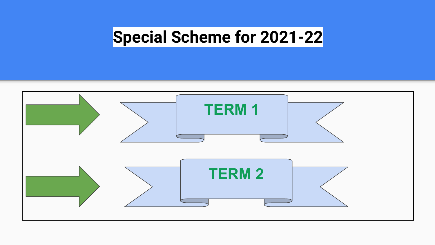## **Special Scheme for 2021-22**

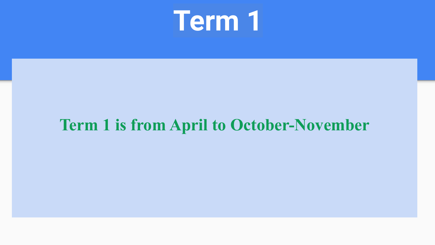

## **Term 1 is from April to October-November**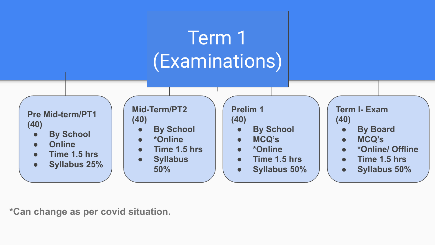## Term 1 (Examinations)

**Pre Mid-term/PT1 (40)**

- **● By School**
- **● Online**
- **● Time 1.5 hrs**
- **● Syllabus 25%**

**Mid-Term/PT2 (40)**

- **● By School**
- **● \*Online**
- **● Time 1.5 hrs**
- **● Syllabus 50%**

#### **Prelim 1 (40)**

- **● By School**
- **● MCQ's**
- **● \*Online**
- **● Time 1.5 hrs**
- **● Syllabus 50%**

#### **Term l- Exam (40)**

- **● By Board**
- **● MCQ's**
- **● \*Online/ Offline**
- **● Time 1.5 hrs**
- **● Syllabus 50%**

**\*Can change as per covid situation.**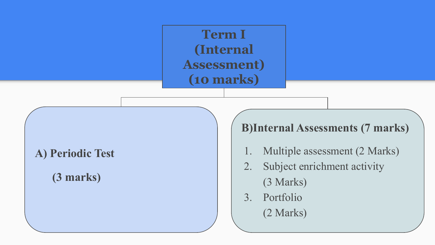**Term I (Internal Assessment) (10 marks)**

### **A) Periodic Test**

### **(3 marks)**

### **B)Internal Assessments (7 marks)**

- 1. Multiple assessment (2 Marks)
- 2. Subject enrichment activity (3 Marks)
- 3. Portfolio (2 Marks)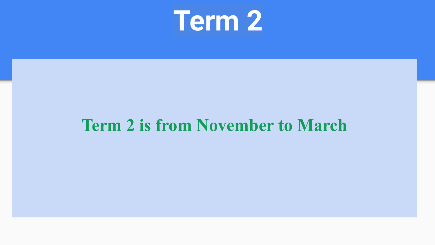# **Term 2**

## **Term 2 is from November to March**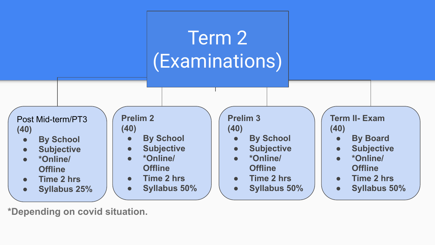

**\*Depending on covid situation.**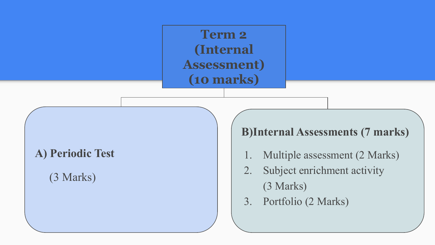**Term 2 (Internal Assessment) (10 marks)**

### **A) Periodic Test**

(3 Marks)

### **B)Internal Assessments (7 marks)**

- 1. Multiple assessment (2 Marks)
- 2. Subject enrichment activity (3 Marks)
- 3. Portfolio (2 Marks)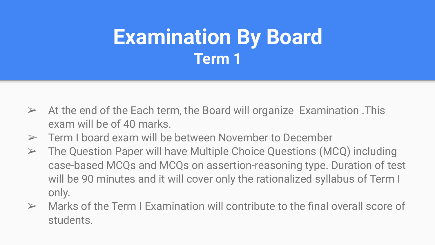## **Examination By Board Term 1**

- $\triangleright$  At the end of the Each term, the Board will organize Examination . This exam will be of 40 marks.
- $\triangleright$  Term I board exam will be between November to December
- ➢ The Question Paper will have Multiple Choice Questions (MCQ) including case-based MCQs and MCQs on assertion-reasoning type. Duration of test will be 90 minutes and it will cover only the rationalized syllabus of Term I only.
- $\triangleright$  Marks of the Term I Examination will contribute to the final overall score of students.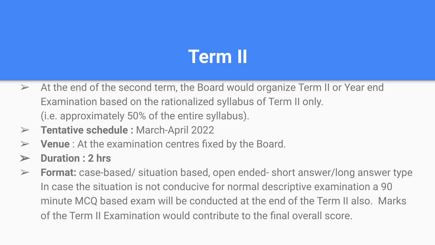## **Term II**

- $\triangleright$  At the end of the second term, the Board would organize Term II or Year end Examination based on the rationalized syllabus of Term II only. (i.e. approximately 50% of the entire syllabus).
- ➢ **Tentative schedule :** March-April 2022
- ➢ **Venue** : At the examination centres fixed by the Board.
- ➢ **Duration : 2 hrs**
- ➢ **Format:** case-based/ situation based, open ended- short answer/long answer type In case the situation is not conducive for normal descriptive examination a 90 minute MCQ based exam will be conducted at the end of the Term II also. Marks of the Term II Examination would contribute to the final overall score.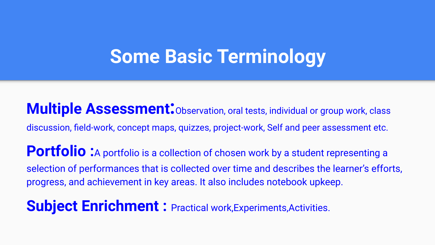## **Some Basic Terminology**

**Multiple Assessment**<sup>:</sup> Observation, oral tests, individual or group work, class discussion, field-work, concept maps, quizzes, project-work, Self and peer assessment etc. Portfolio : A portfolio is a collection of chosen work by a student representing a selection of performances that is collected over time and describes the learner's efforts, progress, and achievement in key areas. It also includes notebook upkeep.

**Subject Enrichment : Practical work, Experiments, Activities.**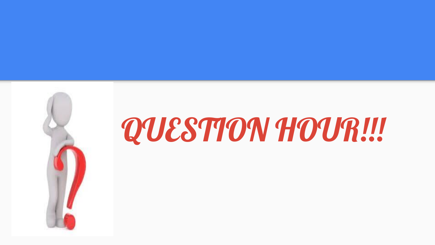

# QUESTION HOUR!!!